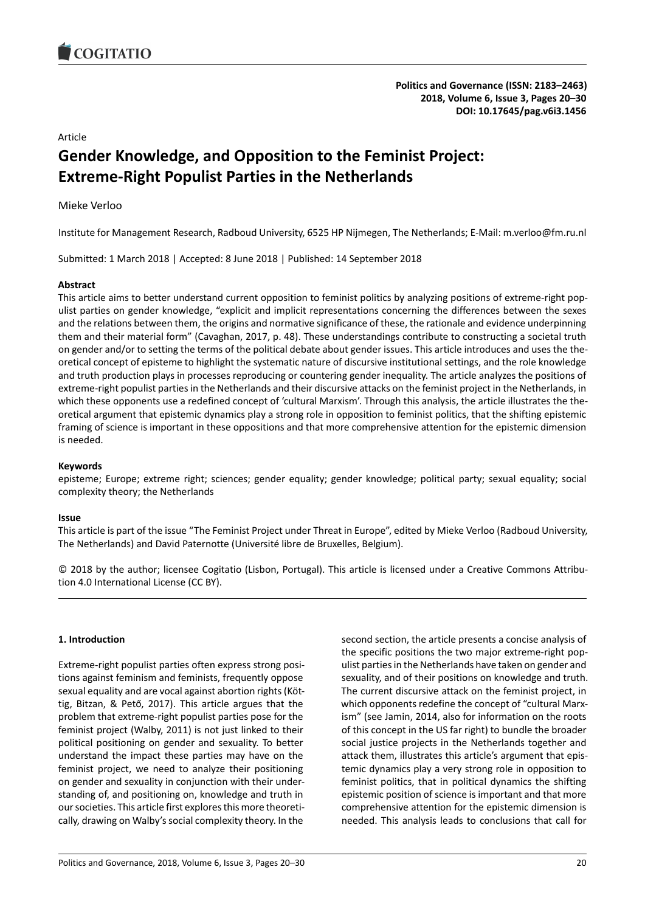## Article

# **Gender Knowledge, and Opposition to the Feminist Project: Extreme-Right Populist Parties in the Netherlands**

### Mieke Verloo

Institute for Management Research, Radboud University, 6525 HP Nijmegen, The Netherlands; E-Mail: m.verloo@fm.ru.nl

Submitted: 1 March 2018 | Accepted: 8 June 2018 | Published: 14 September 2018

### **Abstract**

This article aims to better understand current opposition to feminist politics by analyzing positions of extreme-right populist parties on gender knowledge, "explicit and implicit representations concerning the differences between the sexes and the relations between them, the origins and normative significance of these, the rationale and evidence underpinning them and their material form" (Cavaghan, 2017, p. 48). These understandings contribute to constructing a societal truth on gender and/or to setting the terms of the political debate about gender issues. This article introduces and uses the theoretical concept of episteme to highlight the systematic nature of discursive institutional settings, and the role knowledge and truth production plays in processes reproducing or countering gender inequality. The article analyzes the positions of extreme-right populist parties in the Netherlands and their discursive attacks on the feminist project in the Netherlands, in which these opponents use a redefined concept of 'cultural Marxism'. Through this analysis, the article illustrates the theoretical argument that epistemic dynamics play a strong role in opposition to feminist politics, that the shifting epistemic framing of science is important in these oppositions and that more comprehensive attention for the epistemic dimension is needed.

### **Keywords**

episteme; Europe; extreme right; sciences; gender equality; gender knowledge; political party; sexual equality; social complexity theory; the Netherlands

#### **Issue**

This article is part of the issue "The Feminist Project under Threat in Europe", edited by Mieke Verloo (Radboud University, The Netherlands) and David Paternotte (Université libre de Bruxelles, Belgium).

© 2018 by the author; licensee Cogitatio (Lisbon, Portugal). This article is licensed under a Creative Commons Attribution 4.0 International License (CC BY).

### **1. Introduction**

Extreme-right populist parties often express strong positions against feminism and feminists, frequently oppose sexual equality and are vocal against abortion rights (Köttig, Bitzan, & Pető, 2017). This article argues that the problem that extreme-right populist parties pose for the feminist project (Walby, 2011) is not just linked to their political positioning on gender and sexuality. To better understand the impact these parties may have on the feminist project, we need to analyze their positioning on gender and sexuality in conjunction with their understanding of, and positioning on, knowledge and truth in our societies. This article first explores this more theoretically, drawing on Walby's social complexity theory. In the

second section, the article presents a concise analysis of the specific positions the two major extreme-right populist parties in the Netherlands have taken on gender and sexuality, and of their positions on knowledge and truth. The current discursive attack on the feminist project, in which opponents redefine the concept of "cultural Marxism" (see Jamin, 2014, also for information on the roots of this concept in the US far right) to bundle the broader social justice projects in the Netherlands together and attack them, illustrates this article's argument that epistemic dynamics play a very strong role in opposition to feminist politics, that in political dynamics the shifting epistemic position of science is important and that more comprehensive attention for the epistemic dimension is needed. This analysis leads to conclusions that call for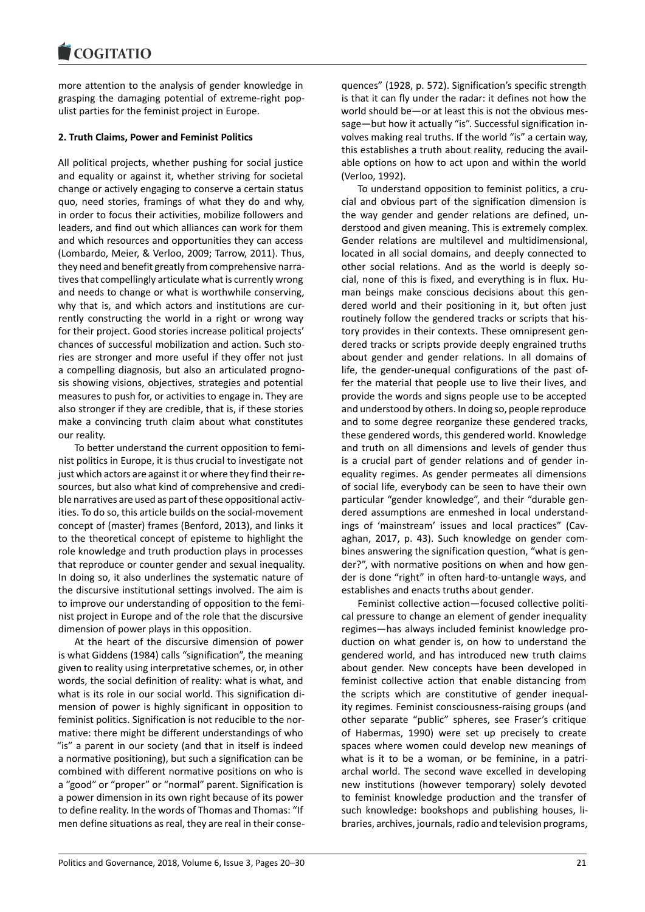more attention to the analysis of gender knowledge in grasping the damaging potential of extreme-right populist parties for the feminist project in Europe.

# **2. Truth Claims, Power and Feminist Politics**

All political projects, whether pushing for social justice and equality or against it, whether striving for societal change or actively engaging to conserve a certain status quo, need stories, framings of what they do and why, in order to focus their activities, mobilize followers and leaders, and find out which alliances can work for them and which resources and opportunities they can access (Lombardo, Meier, & Verloo, 2009; Tarrow, 2011). Thus, they need and benefit greatly from comprehensive narratives that compellingly articulate what is currently wrong and needs to change or what is worthwhile conserving, why that is, and which actors and institutions are currently constructing the world in a right or wrong way for their project. Good stories increase political projects' chances of successful mobilization and action. Such stories are stronger and more useful if they offer not just a compelling diagnosis, but also an articulated prognosis showing visions, objectives, strategies and potential measures to push for, or activities to engage in. They are also stronger if they are credible, that is, if these stories make a convincing truth claim about what constitutes our reality.

To better understand the current opposition to feminist politics in Europe, it is thus crucial to investigate not just which actors are against it or where they find their resources, but also what kind of comprehensive and credible narratives are used as part of these oppositional activities. To do so, this article builds on the social-movement concept of (master) frames (Benford, 2013), and links it to the theoretical concept of episteme to highlight the role knowledge and truth production plays in processes that reproduce or counter gender and sexual inequality. In doing so, it also underlines the systematic nature of the discursive institutional settings involved. The aim is to improve our understanding of opposition to the feminist project in Europe and of the role that the discursive dimension of power plays in this opposition.

At the heart of the discursive dimension of power is what Giddens (1984) calls "signification", the meaning given to reality using interpretative schemes, or, in other words, the social definition of reality: what is what, and what is its role in our social world. This signification dimension of power is highly significant in opposition to feminist politics. Signification is not reducible to the normative: there might be different understandings of who "is" a parent in our society (and that in itself is indeed a normative positioning), but such a signification can be combined with different normative positions on who is a "good" or "proper" or "normal" parent. Signification is a power dimension in its own right because of its power to define reality. In the words of Thomas and Thomas: "If men define situations as real, they are real in their consequences" (1928, p. 572). Signification's specific strength is that it can fly under the radar: it defines not how the world should be―or at least this is not the obvious message―but how it actually "is". Successful signification involves making real truths. If the world "is" a certain way, this establishes a truth about reality, reducing the available options on how to act upon and within the world (Verloo, 1992).

To understand opposition to feminist politics, a crucial and obvious part of the signification dimension is the way gender and gender relations are defined, understood and given meaning. This is extremely complex. Gender relations are multilevel and multidimensional, located in all social domains, and deeply connected to other social relations. And as the world is deeply social, none of this is fixed, and everything is in flux. Human beings make conscious decisions about this gendered world and their positioning in it, but often just routinely follow the gendered tracks or scripts that history provides in their contexts. These omnipresent gendered tracks or scripts provide deeply engrained truths about gender and gender relations. In all domains of life, the gender-unequal configurations of the past offer the material that people use to live their lives, and provide the words and signs people use to be accepted and understood by others. In doing so, people reproduce and to some degree reorganize these gendered tracks, these gendered words, this gendered world. Knowledge and truth on all dimensions and levels of gender thus is a crucial part of gender relations and of gender inequality regimes. As gender permeates all dimensions of social life, everybody can be seen to have their own particular "gender knowledge", and their "durable gendered assumptions are enmeshed in local understandings of 'mainstream' issues and local practices" (Cavaghan, 2017, p. 43). Such knowledge on gender combines answering the signification question, "what is gender?", with normative positions on when and how gender is done "right" in often hard-to-untangle ways, and establishes and enacts truths about gender.

Feminist collective action―focused collective political pressure to change an element of gender inequality regimes―has always included feminist knowledge production on what gender is, on how to understand the gendered world, and has introduced new truth claims about gender. New concepts have been developed in feminist collective action that enable distancing from the scripts which are constitutive of gender inequality regimes. Feminist consciousness-raising groups (and other separate "public" spheres, see Fraser's critique of Habermas, 1990) were set up precisely to create spaces where women could develop new meanings of what is it to be a woman, or be feminine, in a patriarchal world. The second wave excelled in developing new institutions (however temporary) solely devoted to feminist knowledge production and the transfer of such knowledge: bookshops and publishing houses, libraries, archives, journals, radio and television programs,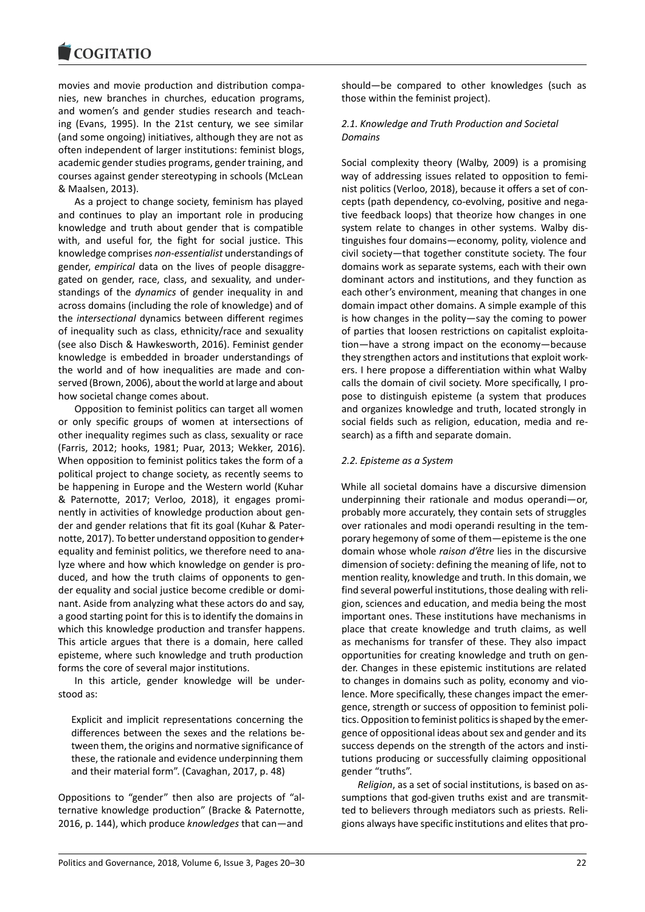movies and movie production and distribution companies, new branches in churches, education programs, and women's and gender studies research and teaching (Evans, 1995). In the 21st century, we see similar (and some ongoing) initiatives, although they are not as often independent of larger institutions: feminist blogs, academic gender studies programs, gender training, and courses against gender stereotyping in schools (McLean & Maalsen, 2013).

As a project to change society, feminism has played and continues to play an important role in producing knowledge and truth about gender that is compatible with, and useful for, the fight for social justice. This knowledge comprises *non-essentialist* understandings of gender, *empirical* data on the lives of people disaggregated on gender, race, class, and sexuality, and understandings of the *dynamics* of gender inequality in and across domains (including the role of knowledge) and of the *intersectional* dynamics between different regimes of inequality such as class, ethnicity/race and sexuality (see also Disch & Hawkesworth, 2016). Feminist gender knowledge is embedded in broader understandings of the world and of how inequalities are made and conserved (Brown, 2006), about the world at large and about how societal change comes about.

Opposition to feminist politics can target all women or only specific groups of women at intersections of other inequality regimes such as class, sexuality or race (Farris, 2012; hooks, 1981; Puar, 2013; Wekker, 2016). When opposition to feminist politics takes the form of a political project to change society, as recently seems to be happening in Europe and the Western world (Kuhar & Paternotte, 2017; Verloo, 2018), it engages prominently in activities of knowledge production about gender and gender relations that fit its goal (Kuhar & Paternotte, 2017). To better understand opposition to gender+ equality and feminist politics, we therefore need to analyze where and how which knowledge on gender is produced, and how the truth claims of opponents to gender equality and social justice become credible or dominant. Aside from analyzing what these actors do and say, a good starting point for this is to identify the domains in which this knowledge production and transfer happens. This article argues that there is a domain, here called episteme, where such knowledge and truth production forms the core of several major institutions.

In this article, gender knowledge will be understood as:

Explicit and implicit representations concerning the differences between the sexes and the relations between them, the origins and normative significance of these, the rationale and evidence underpinning them and their material form". (Cavaghan, 2017, p. 48)

Oppositions to "gender" then also are projects of "alternative knowledge production" (Bracke & Paternotte, 2016, p. 144), which produce *knowledges* that can―and

should―be compared to other knowledges (such as those within the feminist project).

### *2.1. Knowledge and Truth Production and Societal Domains*

Social complexity theory (Walby, 2009) is a promising way of addressing issues related to opposition to feminist politics (Verloo, 2018), because it offers a set of concepts (path dependency, co-evolving, positive and negative feedback loops) that theorize how changes in one system relate to changes in other systems. Walby distinguishes four domains―economy, polity, violence and civil society―that together constitute society. The four domains work as separate systems, each with their own dominant actors and institutions, and they function as each other's environment, meaning that changes in one domain impact other domains. A simple example of this is how changes in the polity―say the coming to power of parties that loosen restrictions on capitalist exploitation―have a strong impact on the economy―because they strengthen actors and institutions that exploit workers. I here propose a differentiation within what Walby calls the domain of civil society. More specifically, I propose to distinguish episteme (a system that produces and organizes knowledge and truth, located strongly in social fields such as religion, education, media and research) as a fifth and separate domain.

#### *2.2. Episteme as a System*

While all societal domains have a discursive dimension underpinning their rationale and modus operandi―or, probably more accurately, they contain sets of struggles over rationales and modi operandi resulting in the temporary hegemony of some of them―episteme is the one domain whose whole *raison d'être* lies in the discursive dimension of society: defining the meaning of life, not to mention reality, knowledge and truth. In this domain, we find several powerful institutions, those dealing with religion, sciences and education, and media being the most important ones. These institutions have mechanisms in place that create knowledge and truth claims, as well as mechanisms for transfer of these. They also impact opportunities for creating knowledge and truth on gender. Changes in these epistemic institutions are related to changes in domains such as polity, economy and violence. More specifically, these changes impact the emergence, strength or success of opposition to feminist politics. Opposition to feminist politics is shaped by the emergence of oppositional ideas about sex and gender and its success depends on the strength of the actors and institutions producing or successfully claiming oppositional gender "truths".

*Religion*, as a set of social institutions, is based on assumptions that god-given truths exist and are transmitted to believers through mediators such as priests. Religions always have specific institutions and elites that pro-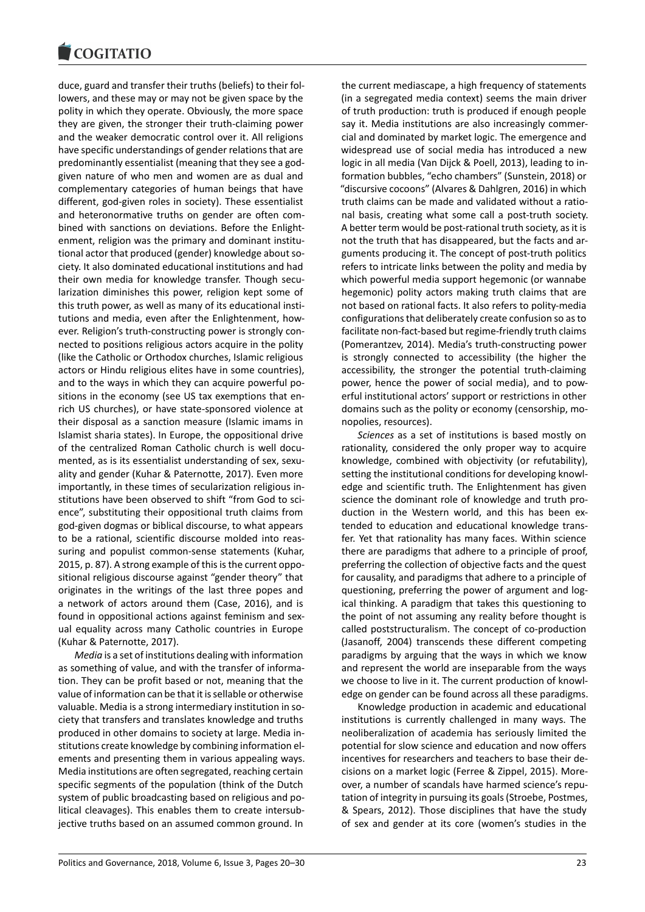duce, guard and transfer their truths (beliefs) to their followers, and these may or may not be given space by the polity in which they operate. Obviously, the more space they are given, the stronger their truth-claiming power and the weaker democratic control over it. All religions have specific understandings of gender relations that are predominantly essentialist (meaning that they see a godgiven nature of who men and women are as dual and complementary categories of human beings that have different, god-given roles in society). These essentialist and heteronormative truths on gender are often combined with sanctions on deviations. Before the Enlightenment, religion was the primary and dominant institutional actor that produced (gender) knowledge about society. It also dominated educational institutions and had their own media for knowledge transfer. Though secularization diminishes this power, religion kept some of this truth power, as well as many of its educational institutions and media, even after the Enlightenment, however. Religion's truth-constructing power is strongly connected to positions religious actors acquire in the polity (like the Catholic or Orthodox churches, Islamic religious actors or Hindu religious elites have in some countries), and to the ways in which they can acquire powerful positions in the economy (see US tax exemptions that enrich US churches), or have state-sponsored violence at their disposal as a sanction measure (Islamic imams in Islamist sharia states). In Europe, the oppositional drive of the centralized Roman Catholic church is well documented, as is its essentialist understanding of sex, sexuality and gender (Kuhar & Paternotte, 2017). Even more importantly, in these times of secularization religious institutions have been observed to shift "from God to science", substituting their oppositional truth claims from god-given dogmas or biblical discourse, to what appears to be a rational, scientific discourse molded into reassuring and populist common-sense statements (Kuhar, 2015, p. 87). A strong example of this is the current oppositional religious discourse against "gender theory" that originates in the writings of the last three popes and a network of actors around them (Case, 2016), and is found in oppositional actions against feminism and sexual equality across many Catholic countries in Europe (Kuhar & Paternotte, 2017).

*Media* is a set of institutions dealing with information as something of value, and with the transfer of information. They can be profit based or not, meaning that the value of information can be that it is sellable or otherwise valuable. Media is a strong intermediary institution in society that transfers and translates knowledge and truths produced in other domains to society at large. Media institutions create knowledge by combining information elements and presenting them in various appealing ways. Media institutions are often segregated, reaching certain specific segments of the population (think of the Dutch system of public broadcasting based on religious and political cleavages). This enables them to create intersubjective truths based on an assumed common ground. In the current mediascape, a high frequency of statements (in a segregated media context) seems the main driver of truth production: truth is produced if enough people say it. Media institutions are also increasingly commercial and dominated by market logic. The emergence and widespread use of social media has introduced a new logic in all media (Van Dijck & Poell, 2013), leading to information bubbles, "echo chambers" (Sunstein, 2018) or "discursive cocoons" (Alvares & Dahlgren, 2016) in which truth claims can be made and validated without a rational basis, creating what some call a post-truth society. A better term would be post-rational truth society, as it is not the truth that has disappeared, but the facts and arguments producing it. The concept of post-truth politics refers to intricate links between the polity and media by which powerful media support hegemonic (or wannabe hegemonic) polity actors making truth claims that are not based on rational facts. It also refers to polity-media configurations that deliberately create confusion so as to facilitate non-fact-based but regime-friendly truth claims (Pomerantzev, 2014). Media's truth-constructing power is strongly connected to accessibility (the higher the accessibility, the stronger the potential truth-claiming power, hence the power of social media), and to powerful institutional actors' support or restrictions in other domains such as the polity or economy (censorship, monopolies, resources).

*Sciences* as a set of institutions is based mostly on rationality, considered the only proper way to acquire knowledge, combined with objectivity (or refutability), setting the institutional conditions for developing knowledge and scientific truth. The Enlightenment has given science the dominant role of knowledge and truth production in the Western world, and this has been extended to education and educational knowledge transfer. Yet that rationality has many faces. Within science there are paradigms that adhere to a principle of proof, preferring the collection of objective facts and the quest for causality, and paradigms that adhere to a principle of questioning, preferring the power of argument and logical thinking. A paradigm that takes this questioning to the point of not assuming any reality before thought is called poststructuralism. The concept of co-production (Jasanoff, 2004) transcends these different competing paradigms by arguing that the ways in which we know and represent the world are inseparable from the ways we choose to live in it. The current production of knowledge on gender can be found across all these paradigms.

Knowledge production in academic and educational institutions is currently challenged in many ways. The neoliberalization of academia has seriously limited the potential for slow science and education and now offers incentives for researchers and teachers to base their decisions on a market logic (Ferree & Zippel, 2015). Moreover, a number of scandals have harmed science's reputation of integrity in pursuing its goals (Stroebe, Postmes, & Spears, 2012). Those disciplines that have the study of sex and gender at its core (women's studies in the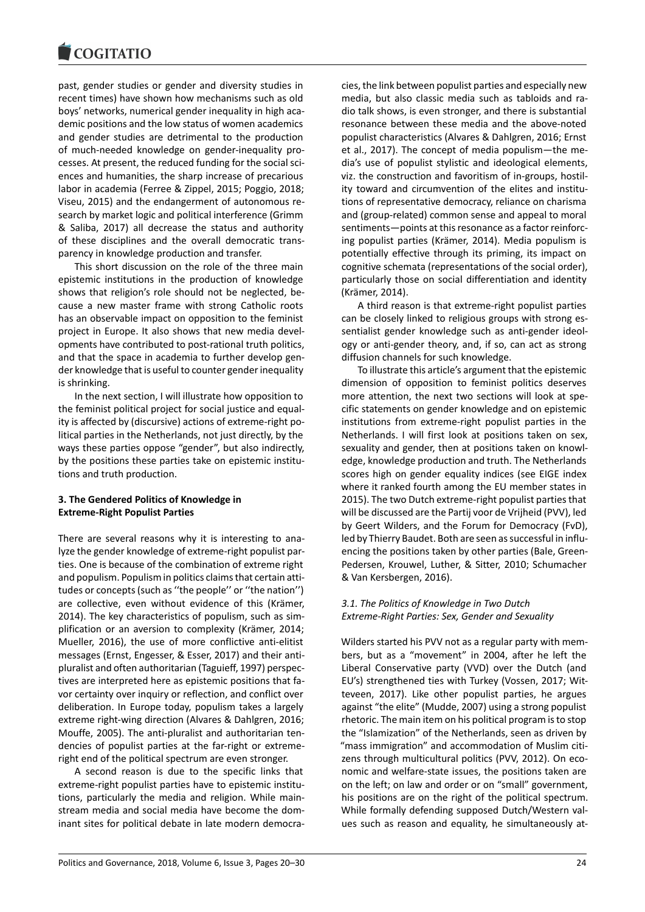#### COQUIATIO

past, gender studies or gender and diversity studies in recent times) have shown how mechanisms such as old boys' networks, numerical gender inequality in high academic positions and the low status of women academics and gender studies are detrimental to the production of much-needed knowledge on gender-inequality processes. At present, the reduced funding for the social sciences and humanities, the sharp increase of precarious labor in academia (Ferree & Zippel, 2015; Poggio, 2018; Viseu, 2015) and the endangerment of autonomous research by market logic and political interference (Grimm & Saliba, 2017) all decrease the status and authority of these disciplines and the overall democratic transparency in knowledge production and transfer.

This short discussion on the role of the three main epistemic institutions in the production of knowledge shows that religion's role should not be neglected, because a new master frame with strong Catholic roots has an observable impact on opposition to the feminist project in Europe. It also shows that new media developments have contributed to post-rational truth politics, and that the space in academia to further develop gender knowledge that is useful to counter gender inequality is shrinking.

In the next section, I will illustrate how opposition to the feminist political project for social justice and equality is affected by (discursive) actions of extreme-right political parties in the Netherlands, not just directly, by the ways these parties oppose "gender", but also indirectly, by the positions these parties take on epistemic institutions and truth production.

### **3. The Gendered Politics of Knowledge in Extreme-Right Populist Parties**

There are several reasons why it is interesting to analyze the gender knowledge of extreme-right populist parties. One is because of the combination of extreme right and populism. Populism in politics claims that certain attitudes or concepts (such as ''the people'' or ''the nation'') are collective, even without evidence of this (Krämer, 2014). The key characteristics of populism, such as simplification or an aversion to complexity (Krämer, 2014; Mueller, 2016), the use of more conflictive anti-elitist messages (Ernst, Engesser, & Esser, 2017) and their antipluralist and often authoritarian (Taguieff, 1997) perspectives are interpreted here as epistemic positions that favor certainty over inquiry or reflection, and conflict over deliberation. In Europe today, populism takes a largely extreme right-wing direction (Alvares & Dahlgren, 2016; Mouffe, 2005). The anti-pluralist and authoritarian tendencies of populist parties at the far-right or extremeright end of the political spectrum are even stronger.

A second reason is due to the specific links that extreme-right populist parties have to epistemic institutions, particularly the media and religion. While mainstream media and social media have become the dominant sites for political debate in late modern democracies, the link between populist parties and especially new media, but also classic media such as tabloids and radio talk shows, is even stronger, and there is substantial resonance between these media and the above-noted populist characteristics (Alvares & Dahlgren, 2016; Ernst et al., 2017). The concept of media populism―the media's use of populist stylistic and ideological elements, viz. the construction and favoritism of in-groups, hostility toward and circumvention of the elites and institutions of representative democracy, reliance on charisma and (group-related) common sense and appeal to moral sentiments―points at this resonance as a factor reinforcing populist parties (Krämer, 2014). Media populism is potentially effective through its priming, its impact on cognitive schemata (representations of the social order), particularly those on social differentiation and identity (Krämer, 2014).

A third reason is that extreme-right populist parties can be closely linked to religious groups with strong essentialist gender knowledge such as anti-gender ideology or anti-gender theory, and, if so, can act as strong diffusion channels for such knowledge.

To illustrate this article's argument that the epistemic dimension of opposition to feminist politics deserves more attention, the next two sections will look at specific statements on gender knowledge and on epistemic institutions from extreme-right populist parties in the Netherlands. I will first look at positions taken on sex, sexuality and gender, then at positions taken on knowledge, knowledge production and truth. The Netherlands scores high on gender equality indices (see EIGE index where it ranked fourth among the EU member states in 2015). The two Dutch extreme-right populist parties that will be discussed are the Partij voor de Vrijheid (PVV), led by Geert Wilders, and the Forum for Democracy (FvD), led by Thierry Baudet. Both are seen as successful in influencing the positions taken by other parties (Bale, Green-Pedersen, Krouwel, Luther, & Sitter, 2010; Schumacher & Van Kersbergen, 2016).

### *3.1. The Politics of Knowledge in Two Dutch Extreme-Right Parties: Sex, Gender and Sexuality*

Wilders started his PVV not as a regular party with members, but as a "movement" in 2004, after he left the Liberal Conservative party (VVD) over the Dutch (and EU's) strengthened ties with Turkey (Vossen, 2017; Witteveen, 2017). Like other populist parties, he argues against "the elite" (Mudde, 2007) using a strong populist rhetoric. The main item on his political program is to stop the "Islamization" of the Netherlands, seen as driven by "mass immigration" and accommodation of Muslim citizens through multicultural politics (PVV, 2012). On economic and welfare-state issues, the positions taken are on the left; on law and order or on "small" government, his positions are on the right of the political spectrum. While formally defending supposed Dutch/Western values such as reason and equality, he simultaneously at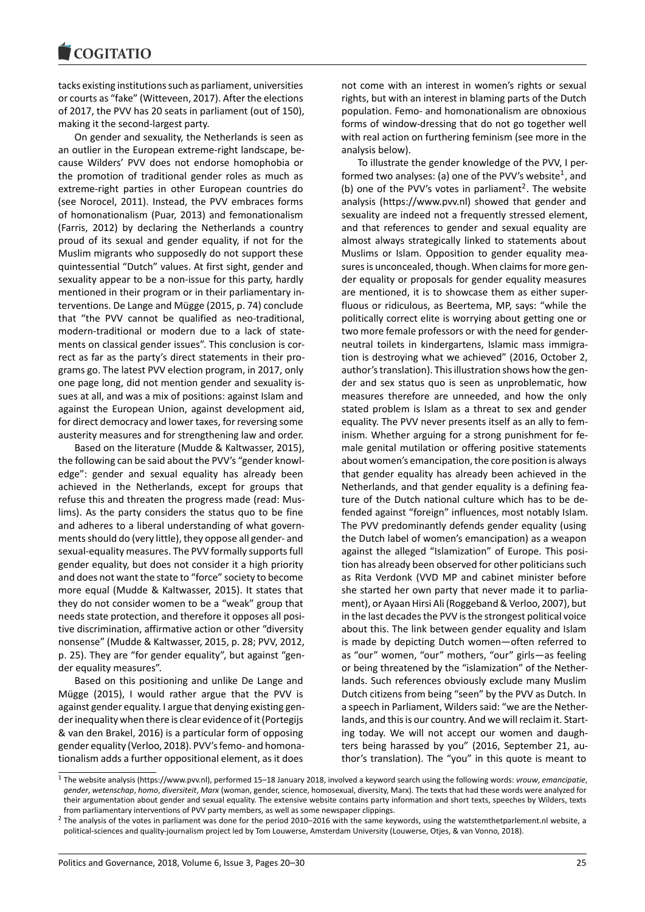tacks existing institutions such as parliament, universities or courts as "fake" (Witteveen, 2017). After the elections of 2017, the PVV has 20 seats in parliament (out of 150), making it the second-largest party.

On gender and sexuality, the Netherlands is seen as an outlier in the European extreme-right landscape, because Wilders' PVV does not endorse homophobia or the promotion of traditional gender roles as much as extreme-right parties in other European countries do (see Norocel, 2011). Instead, the PVV embraces forms of homonationalism (Puar, 2013) and femonationalism (Farris, 2012) by declaring the Netherlands a country proud of its sexual and gender equality, if not for the Muslim migrants who supposedly do not support these quintessential "Dutch" values. At first sight, gender and sexuality appear to be a non-issue for this party, hardly mentioned in their program or in their parliamentary interventions. De Lange and Mügge (2015, p. 74) conclude that "the PVV cannot be qualified as neo-traditional, modern-traditional or modern due to a lack of statements on classical gender issues". This conclusion is correct as far as the party's direct statements in their programs go. The latest PVV election program, in 2017, only one page long, did not mention gender and sexuality issues at all, and was a mix of positions: against Islam and against the European Union, against development aid, for direct democracy and lower taxes, for reversing some austerity measures and for strengthening law and order.

Based on the literature (Mudde & Kaltwasser, 2015), the following can be said about the PVV's "gender knowledge": gender and sexual equality has already been achieved in the Netherlands, except for groups that refuse this and threaten the progress made (read: Muslims). As the party considers the status quo to be fine and adheres to a liberal understanding of what governments should do (very little), they oppose all gender- and sexual-equality measures. The PVV formally supports full gender equality, but does not consider it a high priority and does not want the state to "force" society to become more equal (Mudde & Kaltwasser, 2015). It states that they do not consider women to be a "weak" group that needs state protection, and therefore it opposes all positive discrimination, affirmative action or other "diversity nonsense" (Mudde & Kaltwasser, 2015, p. 28; PVV, 2012, p. 25). They are "for gender equality", but against "gender equality measures".

Based on this positioning and unlike De Lange and Mügge (2015), I would rather argue that the PVV is against gender equality. I argue that denying existing gender inequality when there is clear evidence of it (Portegijs & van den Brakel, 2016) is a particular form of opposing gender equality (Verloo, 2018). PVV's femo- and homonationalism adds a further oppositional element, as it does

not come with an interest in women's rights or sexual rights, but with an interest in blaming parts of the Dutch population. Femo- and homonationalism are obnoxious forms of window-dressing that do not go together well with real action on furthering feminism (see more in the analysis below).

To illustrate the gender knowledge of the PVV, I performed two analyses: (a) one of the PVV's website<sup>1</sup>, and (b) one of the PVV's votes in parliament<sup>2</sup>. The website analysis (https://www.pvv.nl) showed that gender and sexuality are indeed not a frequently stressed element, and that references to gender and sexual equali[ty](#page-5-0) are almost always strategically linked to sta[te](#page-5-1)ments about Muslims or Islam. Opposition to gender equality measures is unconcealed, though. When claims for more gender equality or proposals for gender equality measures are mentioned, it is to showcase them as either superfluous or ridiculous, as Beertema, MP, says: "while the politically correct elite is worrying about getting one or two more female professors or with the need for genderneutral toilets in kindergartens, Islamic mass immigration is destroying what we achieved" (2016, October 2, author's translation). This illustration shows how the gender and sex status quo is seen as unproblematic, how measures therefore are unneeded, and how the only stated problem is Islam as a threat to sex and gender equality. The PVV never presents itself as an ally to feminism. Whether arguing for a strong punishment for female genital mutilation or offering positive statements about women's emancipation, the core position is always that gender equality has already been achieved in the Netherlands, and that gender equality is a defining feature of the Dutch national culture which has to be defended against "foreign" influences, most notably Islam. The PVV predominantly defends gender equality (using the Dutch label of women's emancipation) as a weapon against the alleged "Islamization" of Europe. This position has already been observed for other politicians such as Rita Verdonk (VVD MP and cabinet minister before she started her own party that never made it to parliament), or Ayaan Hirsi Ali (Roggeband & Verloo, 2007), but in the last decades the PVV is the strongest political voice about this. The link between gender equality and Islam is made by depicting Dutch women―often referred to as "our" women, "our" mothers, "our" girls―as feeling or being threatened by the "islamization" of the Netherlands. Such references obviously exclude many Muslim Dutch citizens from being "seen" by the PVV as Dutch. In a speech in Parliament, Wilders said: "we are the Netherlands, and this is our country. And we will reclaim it. Starting today. We will not accept our women and daughters being harassed by you" (2016, September 21, author's translation). The "you" in this quote is meant to

<sup>1</sup> The website analysis (https://www.pvv.nl), performed 15–18 January 2018, involved a keyword search using the following words: *vrouw*, *emancipatie*, *gender*, *wetenschap*, *homo*, *diversiteit*, *Marx* (woman, gender, science, homosexual, diversity, Marx). The texts that had these words were analyzed for their argumentation about gender and sexual equality. The extensive website contains party information and short texts, speeches by Wilders, texts from parliamentary interventions of PVV party members, as well as some newspaper clippings.

<span id="page-5-1"></span><span id="page-5-0"></span> $<sup>2</sup>$  The analysis of the votes in parliament was done for the period 2010–2016 with the same keywords, using the watstemthetparlement.nl website, a</sup> political-sciences and quality-journalism project led by Tom Louwerse, Amsterdam University (Louwerse, Otjes, & van Vonno, 2018).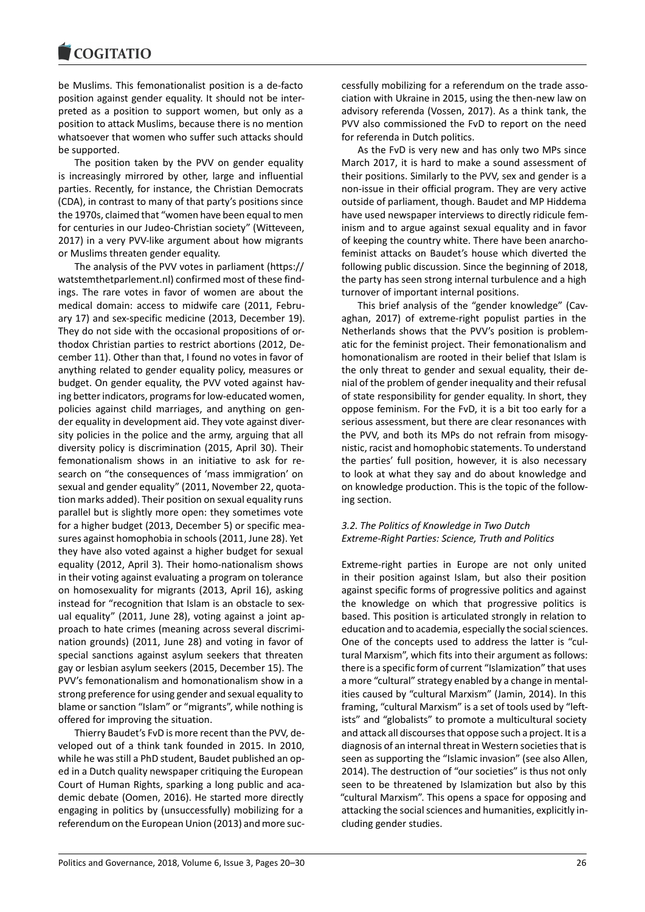#### COQUIATIO

be Muslims. This femonationalist position is a de-facto position against gender equality. It should not be interpreted as a position to support women, but only as a position to attack Muslims, because there is no mention whatsoever that women who suffer such attacks should be supported.

The position taken by the PVV on gender equality is increasingly mirrored by other, large and influential parties. Recently, for instance, the Christian Democrats (CDA), in contrast to many of that party's positions since the 1970s, claimed that "women have been equal to men for centuries in our Judeo-Christian society" (Witteveen, 2017) in a very PVV-like argument about how migrants or Muslims threaten gender equality.

The analysis of the PVV votes in parliament (https:// watstemthetparlement.nl) confirmed most of these findings. The rare votes in favor of women are about the medical domain: access to midwife care (2011, February 17) and sex-specific medicine (2013, December 19). They do not side with the occasional propositions of orthodox Christian parties to restrict abortions (2012, December 11). Other than that, I found no votes in favor of anything related to gender equality policy, measures or budget. On gender equality, the PVV voted against having better indicators, programs for low-educated women, policies against child marriages, and anything on gender equality in development aid. They vote against diversity policies in the police and the army, arguing that all diversity policy is discrimination (2015, April 30). Their femonationalism shows in an initiative to ask for research on "the consequences of 'mass immigration' on sexual and gender equality" (2011, November 22, quotation marks added). Their position on sexual equality runs parallel but is slightly more open: they sometimes vote for a higher budget (2013, December 5) or specific measures against homophobia in schools (2011, June 28). Yet they have also voted against a higher budget for sexual equality (2012, April 3). Their homo-nationalism shows in their voting against evaluating a program on tolerance on homosexuality for migrants (2013, April 16), asking instead for "recognition that Islam is an obstacle to sexual equality" (2011, June 28), voting against a joint approach to hate crimes (meaning across several discrimination grounds) (2011, June 28) and voting in favor of special sanctions against asylum seekers that threaten gay or lesbian asylum seekers (2015, December 15). The PVV's femonationalism and homonationalism show in a strong preference for using gender and sexual equality to blame or sanction "Islam" or "migrants", while nothing is offered for improving the situation.

Thierry Baudet's FvD is more recent than the PVV, developed out of a think tank founded in 2015. In 2010, while he was still a PhD student, Baudet published an oped in a Dutch quality newspaper critiquing the European Court of Human Rights, sparking a long public and academic debate (Oomen, 2016). He started more directly engaging in politics by (unsuccessfully) mobilizing for a referendum on the European Union (2013) and more successfully mobilizing for a referendum on the trade association with Ukraine in 2015, using the then-new law on advisory referenda (Vossen, 2017). As a think tank, the PVV also commissioned the FvD to report on the need for referenda in Dutch politics.

As the FvD is very new and has only two MPs since March 2017, it is hard to make a sound assessment of their positions. Similarly to the PVV, sex and gender is a non-issue in their official program. They are very active outside of parliament, though. Baudet and MP Hiddema have used newspaper interviews to directly ridicule feminism and to argue against sexual equality and in favor of keeping the country white. There have been anarchofeminist attacks on Baudet's house which diverted the following public discussion. Since the beginning of 2018, the party has seen strong internal turbulence and a high turnover of important internal positions.

This brief analysis of the "gender knowledge" (Cavaghan, 2017) of extreme-right populist parties in the Netherlands shows that the PVV's position is problematic for the feminist project. Their femonationalism and homonationalism are rooted in their belief that Islam is the only threat to gender and sexual equality, their denial of the problem of gender inequality and their refusal of state responsibility for gender equality. In short, they oppose feminism. For the FvD, it is a bit too early for a serious assessment, but there are clear resonances with the PVV, and both its MPs do not refrain from misogynistic, racist and homophobic statements. To understand the parties' full position, however, it is also necessary to look at what they say and do about knowledge and on knowledge production. This is the topic of the following section.

### *3.2. The Politics of Knowledge in Two Dutch Extreme-Right Parties: Science, Truth and Politics*

Extreme-right parties in Europe are not only united in their position against Islam, but also their position against specific forms of progressive politics and against the knowledge on which that progressive politics is based. This position is articulated strongly in relation to education and to academia, especially the social sciences. One of the concepts used to address the latter is "cultural Marxism", which fits into their argument as follows: there is a specific form of current "Islamization" that uses a more "cultural" strategy enabled by a change in mentalities caused by "cultural Marxism" (Jamin, 2014). In this framing, "cultural Marxism" is a set of tools used by "leftists" and "globalists" to promote a multicultural society and attack all discourses that oppose such a project. It is a diagnosis of an internal threat in Western societies that is seen as supporting the "Islamic invasion" (see also Allen, 2014). The destruction of "our societies" is thus not only seen to be threatened by Islamization but also by this "cultural Marxism". This opens a space for opposing and attacking the social sciences and humanities, explicitly including gender studies.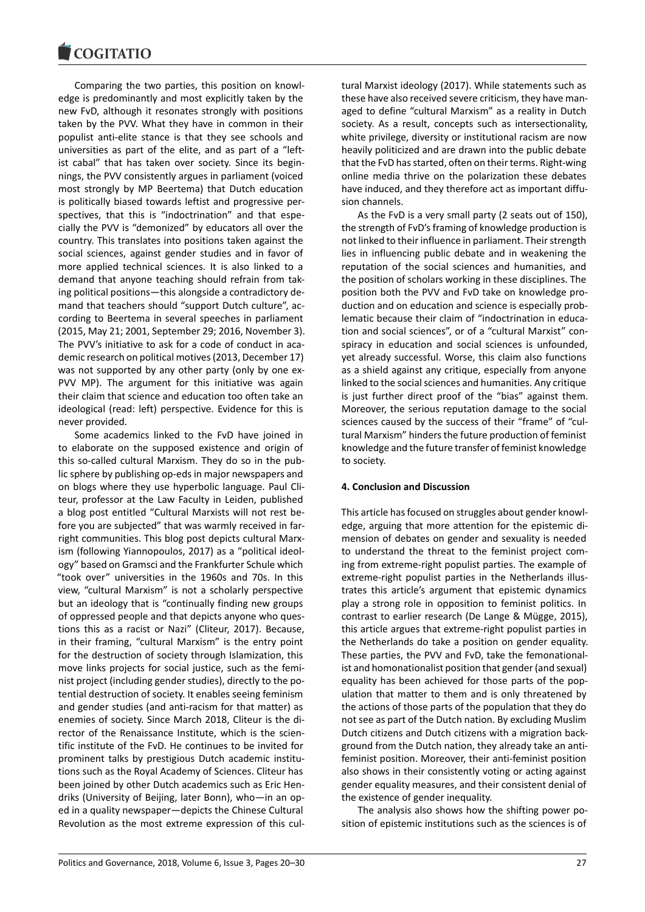Comparing the two parties, this position on knowledge is predominantly and most explicitly taken by the new FvD, although it resonates strongly with positions taken by the PVV. What they have in common in their populist anti-elite stance is that they see schools and universities as part of the elite, and as part of a "leftist cabal" that has taken over society. Since its beginnings, the PVV consistently argues in parliament (voiced most strongly by MP Beertema) that Dutch education is politically biased towards leftist and progressive perspectives, that this is "indoctrination" and that especially the PVV is "demonized" by educators all over the country. This translates into positions taken against the social sciences, against gender studies and in favor of more applied technical sciences. It is also linked to a demand that anyone teaching should refrain from taking political positions―this alongside a contradictory demand that teachers should "support Dutch culture", according to Beertema in several speeches in parliament (2015, May 21; 2001, September 29; 2016, November 3). The PVV's initiative to ask for a code of conduct in academic research on political motives (2013, December 17) was not supported by any other party (only by one ex-PVV MP). The argument for this initiative was again their claim that science and education too often take an ideological (read: left) perspective. Evidence for this is never provided.

Some academics linked to the FvD have joined in to elaborate on the supposed existence and origin of this so-called cultural Marxism. They do so in the public sphere by publishing op-eds in major newspapers and on blogs where they use hyperbolic language. Paul Cliteur, professor at the Law Faculty in Leiden, published a blog post entitled "Cultural Marxists will not rest before you are subjected" that was warmly received in farright communities. This blog post depicts cultural Marxism (following Yiannopoulos, 2017) as a "political ideology" based on Gramsci and the Frankfurter Schule which "took over" universities in the 1960s and 70s. In this view, "cultural Marxism" is not a scholarly perspective but an ideology that is "continually finding new groups of oppressed people and that depicts anyone who questions this as a racist or Nazi" (Cliteur, 2017). Because, in their framing, "cultural Marxism" is the entry point for the destruction of society through Islamization, this move links projects for social justice, such as the feminist project (including gender studies), directly to the potential destruction of society. It enables seeing feminism and gender studies (and anti-racism for that matter) as enemies of society. Since March 2018, Cliteur is the director of the Renaissance Institute, which is the scientific institute of the FvD. He continues to be invited for prominent talks by prestigious Dutch academic institutions such as the Royal Academy of Sciences. Cliteur has been joined by other Dutch academics such as Eric Hendriks (University of Beijing, later Bonn), who―in an oped in a quality newspaper―depicts the Chinese Cultural Revolution as the most extreme expression of this cultural Marxist ideology (2017). While statements such as these have also received severe criticism, they have managed to define "cultural Marxism" as a reality in Dutch society. As a result, concepts such as intersectionality, white privilege, diversity or institutional racism are now heavily politicized and are drawn into the public debate that the FvD has started, often on their terms. Right-wing online media thrive on the polarization these debates have induced, and they therefore act as important diffusion channels.

As the FvD is a very small party (2 seats out of 150), the strength of FvD's framing of knowledge production is not linked to their influence in parliament. Their strength lies in influencing public debate and in weakening the reputation of the social sciences and humanities, and the position of scholars working in these disciplines. The position both the PVV and FvD take on knowledge production and on education and science is especially problematic because their claim of "indoctrination in education and social sciences", or of a "cultural Marxist" conspiracy in education and social sciences is unfounded, yet already successful. Worse, this claim also functions as a shield against any critique, especially from anyone linked to the social sciences and humanities. Any critique is just further direct proof of the "bias" against them. Moreover, the serious reputation damage to the social sciences caused by the success of their "frame" of "cultural Marxism" hinders the future production of feminist knowledge and the future transfer of feminist knowledge to society.

#### **4. Conclusion and Discussion**

This article has focused on struggles about gender knowledge, arguing that more attention for the epistemic dimension of debates on gender and sexuality is needed to understand the threat to the feminist project coming from extreme-right populist parties. The example of extreme-right populist parties in the Netherlands illustrates this article's argument that epistemic dynamics play a strong role in opposition to feminist politics. In contrast to earlier research (De Lange & Mügge, 2015), this article argues that extreme-right populist parties in the Netherlands do take a position on gender equality. These parties, the PVV and FvD, take the femonationalist and homonationalist position that gender (and sexual) equality has been achieved for those parts of the population that matter to them and is only threatened by the actions of those parts of the population that they do not see as part of the Dutch nation. By excluding Muslim Dutch citizens and Dutch citizens with a migration background from the Dutch nation, they already take an antifeminist position. Moreover, their anti-feminist position also shows in their consistently voting or acting against gender equality measures, and their consistent denial of the existence of gender inequality.

The analysis also shows how the shifting power position of epistemic institutions such as the sciences is of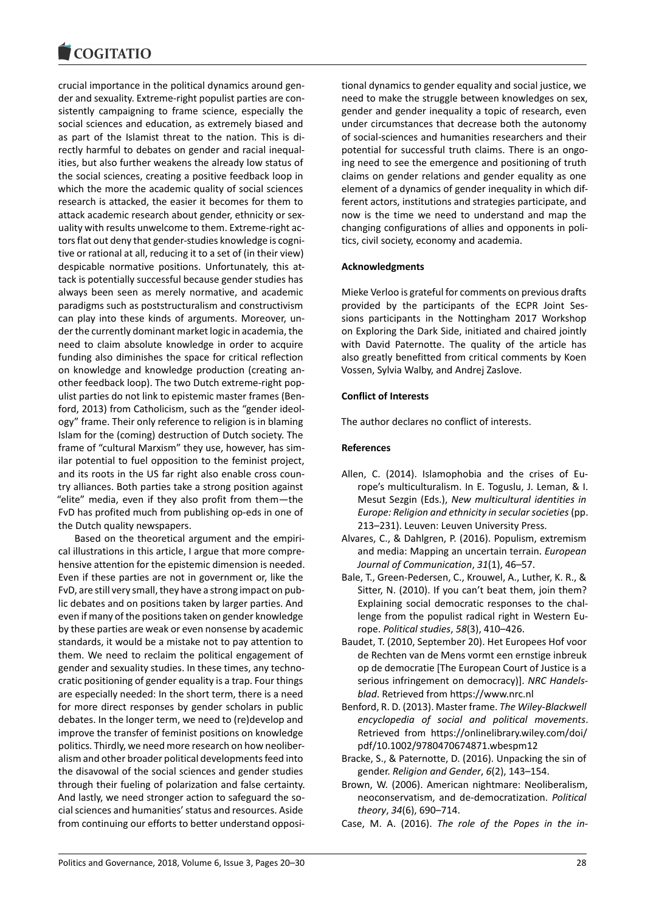crucial importance in the political dynamics around gender and sexuality. Extreme-right populist parties are consistently campaigning to frame science, especially the social sciences and education, as extremely biased and as part of the Islamist threat to the nation. This is directly harmful to debates on gender and racial inequalities, but also further weakens the already low status of the social sciences, creating a positive feedback loop in which the more the academic quality of social sciences research is attacked, the easier it becomes for them to attack academic research about gender, ethnicity or sexuality with results unwelcome to them. Extreme-right actors flat out deny that gender-studies knowledge is cognitive or rational at all, reducing it to a set of (in their view) despicable normative positions. Unfortunately, this attack is potentially successful because gender studies has always been seen as merely normative, and academic paradigms such as poststructuralism and constructivism can play into these kinds of arguments. Moreover, under the currently dominant market logic in academia, the need to claim absolute knowledge in order to acquire funding also diminishes the space for critical reflection on knowledge and knowledge production (creating another feedback loop). The two Dutch extreme-right populist parties do not link to epistemic master frames (Benford, 2013) from Catholicism, such as the "gender ideology" frame. Their only reference to religion is in blaming Islam for the (coming) destruction of Dutch society. The frame of "cultural Marxism" they use, however, has similar potential to fuel opposition to the feminist project, and its roots in the US far right also enable cross country alliances. Both parties take a strong position against "elite" media, even if they also profit from them―the FvD has profited much from publishing op-eds in one of the Dutch quality newspapers.

Based on the theoretical argument and the empirical illustrations in this article, I argue that more comprehensive attention for the epistemic dimension is needed. Even if these parties are not in government or, like the FvD, are still very small, they have a strong impact on public debates and on positions taken by larger parties. And even if many of the positions taken on gender knowledge by these parties are weak or even nonsense by academic standards, it would be a mistake not to pay attention to them. We need to reclaim the political engagement of gender and sexuality studies. In these times, any technocratic positioning of gender equality is a trap. Four things are especially needed: In the short term, there is a need for more direct responses by gender scholars in public debates. In the longer term, we need to (re)develop and improve the transfer of feminist positions on knowledge politics. Thirdly, we need more research on how neoliberalism and other broader political developments feed into the disavowal of the social sciences and gender studies through their fueling of polarization and false certainty. And lastly, we need stronger action to safeguard the social sciences and humanities' status and resources. Aside from continuing our efforts to better understand oppositional dynamics to gender equality and social justice, we need to make the struggle between knowledges on sex, gender and gender inequality a topic of research, even under circumstances that decrease both the autonomy of social-sciences and humanities researchers and their potential for successful truth claims. There is an ongoing need to see the emergence and positioning of truth claims on gender relations and gender equality as one element of a dynamics of gender inequality in which different actors, institutions and strategies participate, and now is the time we need to understand and map the changing configurations of allies and opponents in politics, civil society, economy and academia.

#### **Acknowledgments**

Mieke Verloo is grateful for comments on previous drafts provided by the participants of the ECPR Joint Sessions participants in the Nottingham 2017 Workshop on Exploring the Dark Side, initiated and chaired jointly with David Paternotte. The quality of the article has also greatly benefitted from critical comments by Koen Vossen, Sylvia Walby, and Andrej Zaslove.

#### **Conflict of Interests**

The author declares no conflict of interests.

#### **References**

- Allen, C. (2014). Islamophobia and the crises of Europe's multiculturalism. In E. Toguslu, J. Leman, & I. Mesut Sezgin (Eds.), *New multicultural identities in Europe: Religion and ethnicity in secular societies*(pp. 213–231). Leuven: Leuven University Press.
- Alvares, C., & Dahlgren, P. (2016). Populism, extremism and media: Mapping an uncertain terrain. *European Journal of Communication*, *31*(1), 46–57.
- Bale, T., Green-Pedersen, C., Krouwel, A., Luther, K. R., & Sitter, N. (2010). If you can't beat them, join them? Explaining social democratic responses to the challenge from the populist radical right in Western Europe. *Political studies*, *58*(3), 410–426.
- Baudet, T. (2010, September 20). Het Europees Hof voor de Rechten van de Mens vormt een ernstige inbreuk op de democratie [The European Court of Justice is a serious infringement on democracy)]. *NRC Handelsblad*. Retrieved from https://www.nrc.nl
- Benford, R. D. (2013). Master frame. *The Wiley-Blackwell encyclopedia of social and political movements*. Retrieved from https://onlinelibrary.wiley.com/doi/ pdf/10.1002/9780470674871.wbespm12
- Bracke, S., & Paternotte, D. (2016). Unpacking the sin of gender. *Religion and Gender*, *6*(2), 143–154.
- Brown, W. (2006). American nightmare: Neoliberalism, neoconservatism, and de-democratization. *Political theory*, *34*(6), 690–714.
- Case, M. A. (2016). *The role of the Popes in the in-*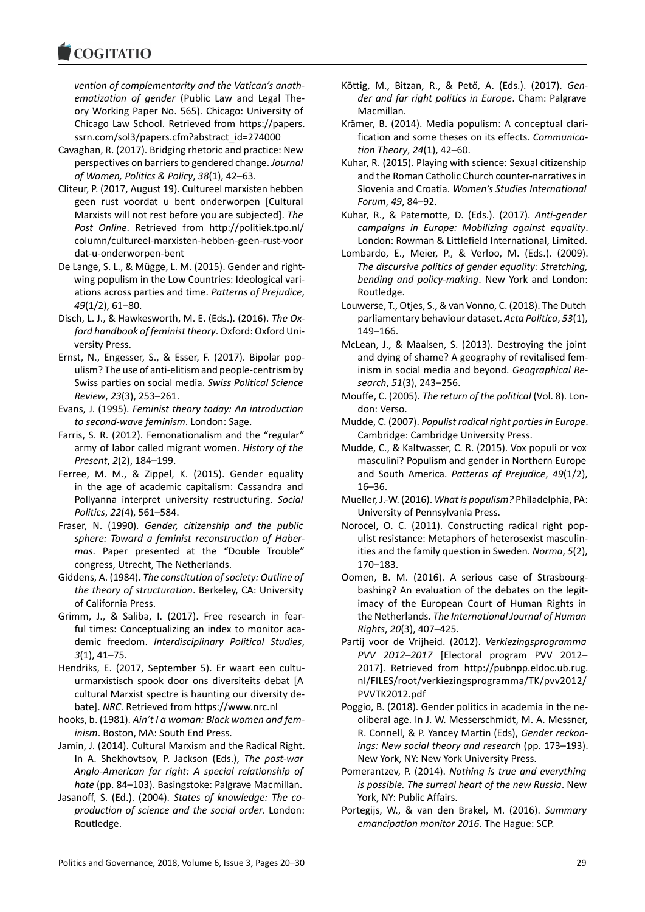*vention of complementarity and the Vatican's anathematization of gender* (Public Law and Legal Theory Working Paper No. 565). Chicago: University of Chicago Law School. Retrieved from https://papers. ssrn.com/sol3/papers.cfm?abstract\_id=274000

- Cavaghan, R. (2017). Bridging rhetoric and practice: New perspectives on barriers to gendered change. *Journal of Women, Politics & Policy*, *38*(1), 42–63.
- Cliteur, P. (2017, August 19). Cultureel marxisten hebben geen rust voordat u bent onderworpen [Cultural Marxists will not rest before you are subjected]. *The Post Online*. Retrieved from http://politiek.tpo.nl/ column/cultureel-marxisten-hebben-geen-rust-voor dat-u-onderworpen-bent
- De Lange, S. L., & Mügge, L. M. (2015). Gender and rightwing populism in the Low Countries: Ideological variations across parties and time. *Patterns of Prejudice*, *49*(1/2), 61–80.
- Disch, L. J., & Hawkesworth, M. E. (Eds.). (2016). *The Oxford handbook of feminist theory*. Oxford: Oxford University Press.
- Ernst, N., Engesser, S., & Esser, F. (2017). Bipolar populism? The use of anti-elitism and people-centrism by Swiss parties on social media. *Swiss Political Science Review*, *23*(3), 253–261.
- Evans, J. (1995). *Feminist theory today: An introduction to second-wave feminism*. London: Sage.
- Farris, S. R. (2012). Femonationalism and the "regular" army of labor called migrant women. *History of the Present*, *2*(2), 184–199.
- Ferree, M. M., & Zippel, K. (2015). Gender equality in the age of academic capitalism: Cassandra and Pollyanna interpret university restructuring. *Social Politics*, *22*(4), 561–584.
- Fraser, N. (1990). *Gender, citizenship and the public sphere: Toward a feminist reconstruction of Habermas*. Paper presented at the "Double Trouble" congress, Utrecht, The Netherlands.
- Giddens, A. (1984). *The constitution of society: Outline of the theory of structuration*. Berkeley, CA: University of California Press.
- Grimm, J., & Saliba, I. (2017). Free research in fearful times: Conceptualizing an index to monitor academic freedom. *Interdisciplinary Political Studies*, *3*(1), 41–75.
- Hendriks, E. (2017, September 5). Er waart een cultuurmarxistisch spook door ons diversiteits debat [A cultural Marxist spectre is haunting our diversity debate]. *NRC*. Retrieved from https://www.nrc.nl
- hooks, b. (1981). *Ain't I a woman: Black women and feminism*. Boston, MA: South End Press.
- Jamin, J. (2014). Cultural Marxism and the Radical Right. In A. Shekhovtsov, P. Jackson (Eds.), *The post-war Anglo-American far right: A special relationship of hate* (pp. 84–103). Basingstoke: Palgrave Macmillan.
- Jasanoff, S. (Ed.). (2004). *States of knowledge: The coproduction of science and the social order*. London: Routledge.
- Köttig, M., Bitzan, R., & Pető, A. (Eds.). (2017). *Gender and far right politics in Europe*. Cham: Palgrave Macmillan.
- Krämer, B. (2014). Media populism: A conceptual clarification and some theses on its effects. *Communication Theory*, *24*(1), 42–60.
- Kuhar, R. (2015). Playing with science: Sexual citizenship and the Roman Catholic Church counter-narratives in Slovenia and Croatia. *Women's Studies International Forum*, *49*, 84–92.
- Kuhar, R., & Paternotte, D. (Eds.). (2017). *Anti-gender campaigns in Europe: Mobilizing against equality*. London: Rowman & Littlefield International, Limited.
- Lombardo, E., Meier, P., & Verloo, M. (Eds.). (2009). *The discursive politics of gender equality: Stretching, bending and policy-making*. New York and London: Routledge.
- Louwerse, T., Otjes, S., & van Vonno, C. (2018). The Dutch parliamentary behaviour dataset. *Acta Politica*, *53*(1), 149–166.
- McLean, J., & Maalsen, S. (2013). Destroying the joint and dying of shame? A geography of revitalised feminism in social media and beyond. *Geographical Research*, *51*(3), 243–256.
- Mouffe, C. (2005). *The return of the political* (Vol. 8). London: Verso.
- Mudde, C. (2007). *Populist radical right parties in Europe*. Cambridge: Cambridge University Press.
- Mudde, C., & Kaltwasser, C. R. (2015). Vox populi or vox masculini? Populism and gender in Northern Europe and South America. *Patterns of Prejudice*, *49*(1/2), 16–36.
- Mueller, J.-W. (2016). *What is populism?* Philadelphia, PA: University of Pennsylvania Press.
- Norocel, O. C. (2011). Constructing radical right populist resistance: Metaphors of heterosexist masculinities and the family question in Sweden. *Norma*, *5*(2), 170–183.
- Oomen, B. M. (2016). A serious case of Strasbourgbashing? An evaluation of the debates on the legitimacy of the European Court of Human Rights in the Netherlands. *The International Journal of Human Rights*, *20*(3), 407–425.
- Partij voor de Vrijheid. (2012). *Verkiezingsprogramma PVV 2012–2017* [Electoral program PVV 2012– 2017]. Retrieved from http://pubnpp.eldoc.ub.rug. nl/FILES/root/verkiezingsprogramma/TK/pvv2012/ PVVTK2012.pdf
- Poggio, B. (2018). Gender politics in academia in the neoliberal age. In J. W. Messerschmidt, M. A. Messner, R. Connell, & P. Yancey Martin (Eds), *Gender reckonings: New social theory and research* (pp. 173–193). New York, NY: New York University Press.
- Pomerantzev, P. (2014). *Nothing is true and everything is possible. The surreal heart of the new Russia*. New York, NY: Public Affairs.
- Portegijs, W., & van den Brakel, M. (2016). *Summary emancipation monitor 2016*. The Hague: SCP.